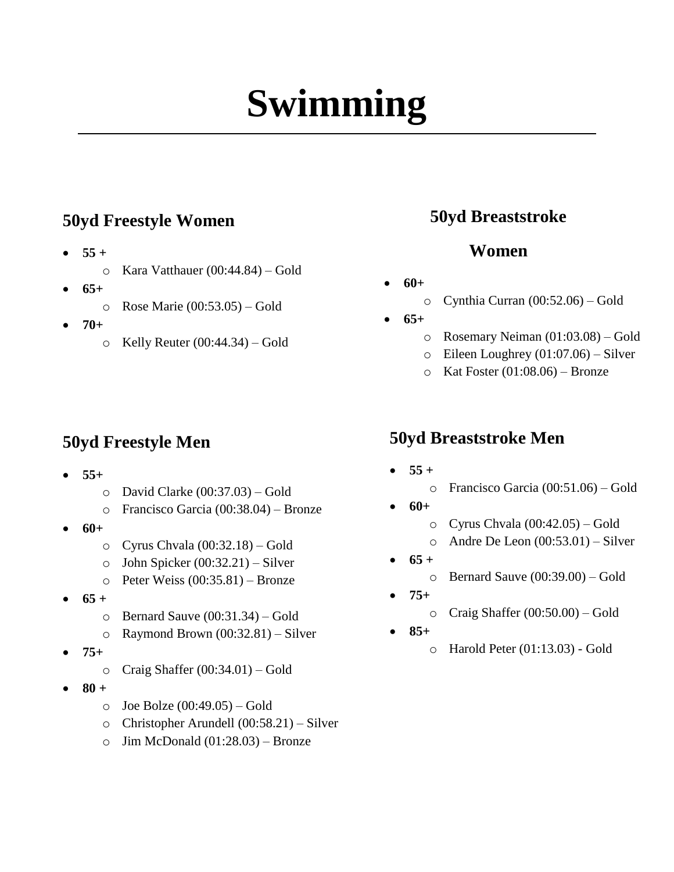# **Swimming**

#### **50yd Freestyle Women**

- $55 +$ 
	- o Kara Vatthauer (00:44.84) Gold
- **65+**
	- o Rose Marie (00:53.05) Gold
- **70+**
	- $\circ$  Kelly Reuter (00:44.34) Gold

### **50yd Freestyle Men**

- **55+**
	- o David Clarke (00:37.03) Gold
	- o Francisco Garcia (00:38.04) Bronze
- **60+**
	- o Cyrus Chvala (00:32.18) Gold
	- o John Spicker (00:32.21) Silver
	- o Peter Weiss (00:35.81) Bronze
- $65 +$ 
	- o Bernard Sauve (00:31.34) Gold
	- o Raymond Brown (00:32.81) Silver
- **75+**
	- $\circ$  Craig Shaffer (00:34.01) Gold
- **80 +** 
	- $\circ$  Joe Bolze (00:49.05) Gold
	- o Christopher Arundell (00:58.21) Silver
	- $\circ$  Jim McDonald (01:28.03) Bronze

### **50yd Breaststroke**

#### **Women**

- **60+** 
	- o Cynthia Curran (00:52.06) Gold
- **65+**
	- o Rosemary Neiman (01:03.08) Gold
	- $\circ$  Eileen Loughrey (01:07.06) Silver
	- $\circ$  Kat Foster (01:08.06) Bronze

#### **50yd Breaststroke Men**

 $55 +$ 

#### o Francisco Garcia (00:51.06) – Gold

- **60+**
	- o Cyrus Chvala (00:42.05) Gold
	- $\circ$  Andre De Leon (00:53.01) Silver
- $65 +$ 
	- o Bernard Sauve (00:39.00) Gold
- **75+** 
	- o Craig Shaffer (00:50.00) Gold
- **85+**
	- o Harold Peter (01:13.03) Gold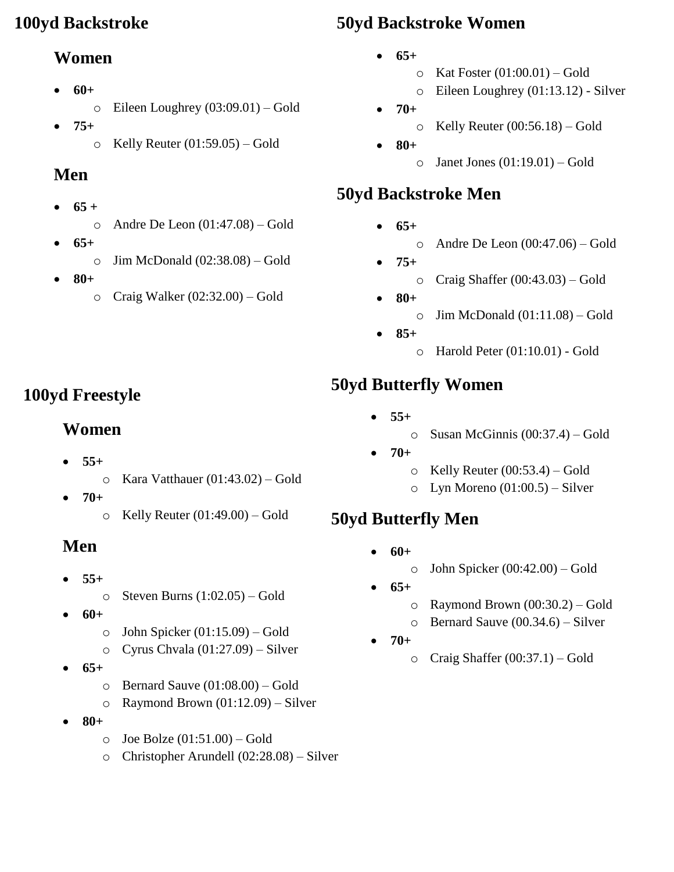#### **100yd Backstroke**

#### **Women**

- **60+**
	- o Eileen Loughrey (03:09.01) Gold
- **75+**
	- $\circ$  Kelly Reuter (01:59.05) Gold

# **Men**

- $\bullet$  65 +
	- $\circ$  Andre De Leon (01:47.08) Gold
- **65+**
	- $\circ$  Jim McDonald (02:38.08) Gold
- **80+**
	- o Craig Walker (02:32.00) Gold

# **50yd Backstroke Women**

- **65+**
	- $\circ$  Kat Foster (01:00.01) Gold
	- o Eileen Loughrey (01:13.12) Silver
- **70+**
	- $\circ$  Kelly Reuter (00:56.18) Gold
	- **80+**  $\circ$  Janet Jones (01:19.01) – Gold

# **50yd Backstroke Men**

- $65+$ 
	- $\circ$  Andre De Leon (00:47.06) Gold
- **75+**
	- $\circ$  Craig Shaffer (00:43.03) Gold
- **80+**
	- $\circ$  Jim McDonald (01:11.08) Gold
- **85+**
	- o Harold Peter (01:10.01) Gold

# **50yd Butterfly Women**

- **55+** 
	- o Susan McGinnis (00:37.4) Gold
- **70+**
	- $\circ$  Kelly Reuter (00:53.4) Gold
	- $\circ$  Lyn Moreno (01:00.5) Silver

# **50yd Butterfly Men**

- **60+**
	- $\circ$  John Spicker (00:42.00) Gold
- **65+**
	- o Raymond Brown (00:30.2) Gold
	- o Bernard Sauve (00.34.6) Silver
- **70+**
	- $\circ$  Craig Shaffer (00:37.1) Gold

**100yd Freestyle** 

- **55+** o Kara Vatthauer (01:43.02) – Gold
- **70+**
	- $\circ$  Kelly Reuter (01:49.00) Gold

# **Men**

- $\bullet$  55+
	- $\circ$  Steven Burns (1:02.05) Gold
- **60+** 
	- $\circ$  John Spicker (01:15.09) Gold
	- o Cyrus Chvala (01:27.09) Silver
- **65+**
	- o Bernard Sauve (01:08.00) Gold
	- $\circ$  Raymond Brown (01:12.09) Silver
- **80+** 
	- $\circ$  Joe Bolze (01:51.00) Gold
	- o Christopher Arundell (02:28.08) Silver

**Women**